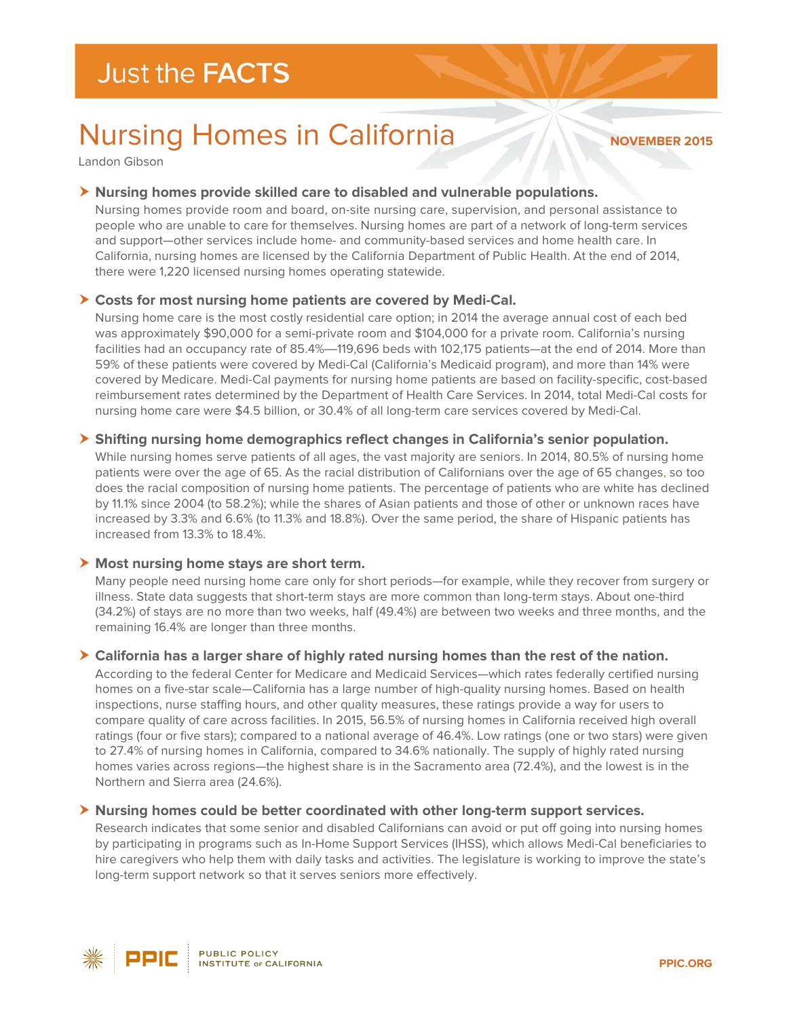# Nursing Homes in California

#### **NOVEMBER 2015**

Landon Gibson

## **Nursing homes provide skilled care to disabled and vulnerable populations.**

Nursing homes provide room and board, on-site nursing care, supervision, and personal assistance to people who are unable to care for themselves. Nursing homes are part of a network of long-term services and support—other services include home- and community-based services and home health care. In California, nursing homes are licensed by the California Department of Public Health. At the end of 2014, there were 1,220 licensed nursing homes operating statewide.

# **Costs for most nursing home patients are covered by Medi-Cal.**

Nursing home care is the most costly residential care option; in 2014 the average annual cost of each bed was approximately \$90,000 for a semi-private room and \$104,000 for a private room. California's nursing facilities had an occupancy rate of 85.4%—119,696 beds with 102,175 patients—at the end of 2014. More than 59% of these patients were covered by Medi-Cal (California's Medicaid program), and more than 14% were covered by Medicare. Medi-Cal payments for nursing home patients are based on facility-specific, cost-based reimbursement rates determined by the Department of Health Care Services. In 2014, total Medi-Cal costs for nursing home care were \$4.5 billion, or 30.4% of all long-term care services covered by Medi-Cal.

# **Shifting nursing home demographics reflect changes in California's senior population.**

While nursing homes serve patients of all ages, the vast majority are seniors. In 2014, 80.5% of nursing home patients were over the age of 65. As the racial distribution of Californians over the age of 65 changes, so too does the racial composition of nursing home patients. The percentage of patients who are white has declined by 11.1% since 2004 (to 58.2%); while the shares of Asian patients and those of other or unknown races have increased by 3.3% and 6.6% (to 11.3% and 18.8%). Over the same period, the share of Hispanic patients has increased from 13.3% to 18.4%.

## **Most nursing home stays are short term.**

Many people need nursing home care only for short periods—for example, while they recover from surgery or illness. State data suggests that short-term stays are more common than long-term stays. About one-third (34.2%) of stays are no more than two weeks, half (49.4%) are between two weeks and three months, and the remaining 16.4% are longer than three months.

## **California has a larger share of highly rated nursing homes than the rest of the nation.**

According to the federal Center for Medicare and Medicaid Services—which rates federally certified nursing homes on a five-star scale—California has a large number of high-quality nursing homes. Based on health inspections, nurse staffing hours, and other quality measures, these ratings provide a way for users to compare quality of care across facilities. In 2015, 56.5% of nursing homes in California received high overall ratings (four or five stars); compared to a national average of 46.4%. Low ratings (one or two stars) were given to 27.4% of nursing homes in California, compared to 34.6% nationally. The supply of highly rated nursing homes varies across regions—the highest share is in the Sacramento area (72.4%), and the lowest is in the Northern and Sierra area (24.6%).

## **Nursing homes could be better coordinated with other long-term support services.**

Research indicates that some senior and disabled Californians can avoid or put off going into nursing homes by participating in programs such as In-Home Support Services (IHSS), which allows Medi-Cal beneficiaries to hire caregivers who help them with daily tasks and activities. The legislature is working to improve the state's long-term support network so that it serves seniors more effectively.